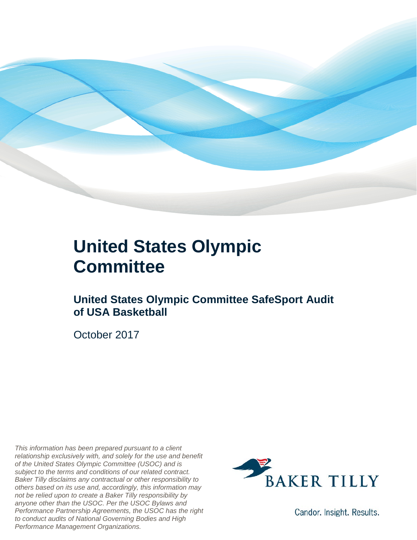

## **United States Olympic Committee**

### **United States Olympic Committee SafeSport Audit of USA Basketball**

October 2017

*This information has been prepared pursuant to a client relationship exclusively with, and solely for the use and benefit of the United States Olympic Committee (USOC) and is subject to the terms and conditions of our related contract. Baker Tilly disclaims any contractual or other responsibility to others based on its use and, accordingly, this information may not be relied upon to create a Baker Tilly responsibility by anyone other than the USOC. Per the USOC Bylaws and Performance Partnership Agreements, the USOC has the right to conduct audits of National Governing Bodies and High Performance Management Organizations.*



Candor. Insight. Results.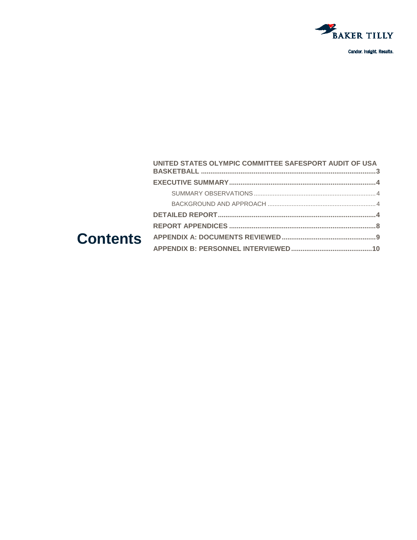

#### UNITED STATES OLYMPIC COMMITTEE SAFESPORT AUDIT OF USA **Contents**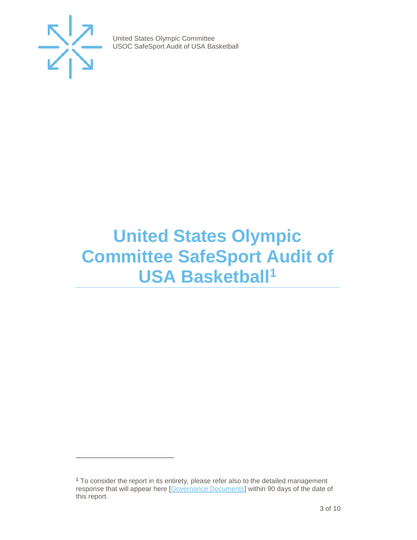

j

United States Olympic Committee USOC SafeSport Audit of USA Basketball

## <span id="page-2-0"></span>**United States Olympic Committee SafeSport Audit of USA Basketball<sup>1</sup>**

<span id="page-2-1"></span><sup>1</sup> To consider the report in its entirety, please refer also to the detailed management response that will appear here [\[Governance Documents\]](https://www.teamusa.org/Footer/Legal/Governance-Documents) within 90 days of the date of this report.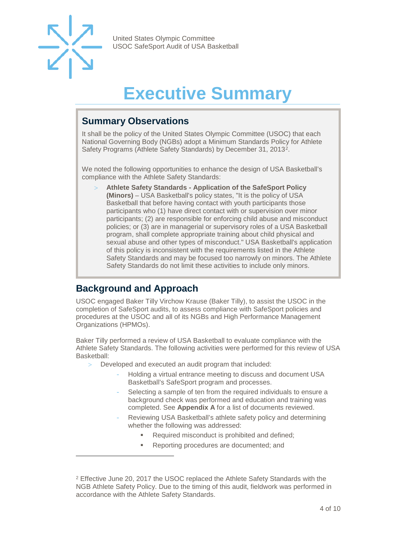

-

United States Olympic Committee USOC SafeSport Audit of USA Basketball

## **Executive Summary**

#### <span id="page-3-1"></span><span id="page-3-0"></span>**Summary Observations**

It shall be the policy of the United States Olympic Committee (USOC) that each National Governing Body (NGBs) adopt a Minimum Standards Policy for Athlete Safety Programs (Athlete Safety Standards) by December 31, 2013[2](#page-3-4).

We noted the following opportunities to enhance the design of USA Basketball's compliance with the Athlete Safety Standards:

> **Athlete Safety Standards - Application of the SafeSport Policy (Minors)** – USA Basketball's policy states, "It is the policy of USA Basketball that before having contact with youth participants those participants who (1) have direct contact with or supervision over minor participants; (2) are responsible for enforcing child abuse and misconduct policies; or (3) are in managerial or supervisory roles of a USA Basketball program, shall complete appropriate training about child physical and sexual abuse and other types of misconduct." USA Basketball's application of this policy is inconsistent with the requirements listed in the Athlete Safety Standards and may be focused too narrowly on minors. The Athlete Safety Standards do not limit these activities to include only minors.

### <span id="page-3-2"></span>**Background and Approach**

USOC engaged Baker Tilly Virchow Krause (Baker Tilly), to assist the USOC in the completion of SafeSport audits, to assess compliance with SafeSport policies and procedures at the USOC and all of its NGBs and High Performance Management Organizations (HPMOs).

<span id="page-3-3"></span>Baker Tilly performed a review of USA Basketball to evaluate compliance with the Athlete Safety Standards. The following activities were performed for this review of USA Basketball:

- > Developed and executed an audit program that included:
	- Holding a virtual entrance meeting to discuss and document USA Basketball's SafeSport program and processes.
	- Selecting a sample of ten from the required individuals to ensure a background check was performed and education and training was completed. See **Appendix A** for a list of documents reviewed.
	- Reviewing USA Basketball's athlete safety policy and determining whether the following was addressed:
		- Required misconduct is prohibited and defined;
		- Reporting procedures are documented; and

<span id="page-3-4"></span><sup>2</sup> Effective June 20, 2017 the USOC replaced the Athlete Safety Standards with the NGB Athlete Safety Policy. Due to the timing of this audit, fieldwork was performed in accordance with the Athlete Safety Standards.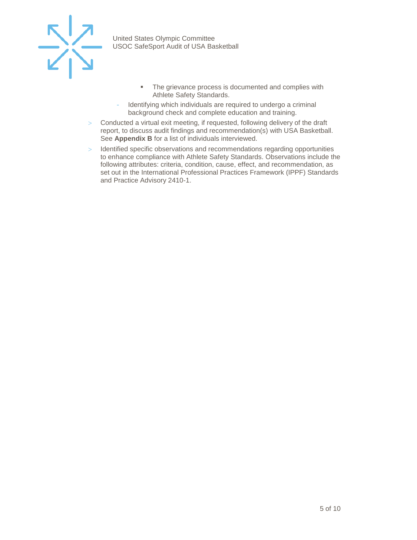

- **The grievance process is documented and complies with** Athlete Safety Standards.
- Identifying which individuals are required to undergo a criminal background check and complete education and training.
- > Conducted a virtual exit meeting, if requested, following delivery of the draft report, to discuss audit findings and recommendation(s) with USA Basketball. See **Appendix B** for a list of individuals interviewed.
- > Identified specific observations and recommendations regarding opportunities to enhance compliance with Athlete Safety Standards. Observations include the following attributes: criteria, condition, cause, effect, and recommendation, as set out in the International Professional Practices Framework (IPPF) Standards and Practice Advisory 2410-1.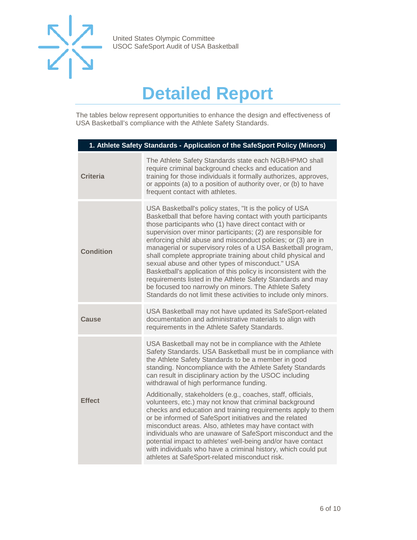

## **Detailed Report**

The tables below represent opportunities to enhance the design and effectiveness of USA Basketball's compliance with the Athlete Safety Standards.

| 1. Athlete Safety Standards - Application of the SafeSport Policy (Minors) |                                                                                                                                                                                                                                                                                                                                                                                                                                                                                                                                                                                                                                                                                                                                                                        |
|----------------------------------------------------------------------------|------------------------------------------------------------------------------------------------------------------------------------------------------------------------------------------------------------------------------------------------------------------------------------------------------------------------------------------------------------------------------------------------------------------------------------------------------------------------------------------------------------------------------------------------------------------------------------------------------------------------------------------------------------------------------------------------------------------------------------------------------------------------|
| <b>Criteria</b>                                                            | The Athlete Safety Standards state each NGB/HPMO shall<br>require criminal background checks and education and<br>training for those individuals it formally authorizes, approves,<br>or appoints (a) to a position of authority over, or (b) to have<br>frequent contact with athletes.                                                                                                                                                                                                                                                                                                                                                                                                                                                                               |
| <b>Condition</b>                                                           | USA Basketball's policy states, "It is the policy of USA<br>Basketball that before having contact with youth participants<br>those participants who (1) have direct contact with or<br>supervision over minor participants; (2) are responsible for<br>enforcing child abuse and misconduct policies; or (3) are in<br>managerial or supervisory roles of a USA Basketball program,<br>shall complete appropriate training about child physical and<br>sexual abuse and other types of misconduct." USA<br>Basketball's application of this policy is inconsistent with the<br>requirements listed in the Athlete Safety Standards and may<br>be focused too narrowly on minors. The Athlete Safety<br>Standards do not limit these activities to include only minors. |
| Cause                                                                      | USA Basketball may not have updated its SafeSport-related<br>documentation and administrative materials to align with<br>requirements in the Athlete Safety Standards.                                                                                                                                                                                                                                                                                                                                                                                                                                                                                                                                                                                                 |
| <b>Effect</b>                                                              | USA Basketball may not be in compliance with the Athlete<br>Safety Standards. USA Basketball must be in compliance with<br>the Athlete Safety Standards to be a member in good<br>standing. Noncompliance with the Athlete Safety Standards<br>can result in disciplinary action by the USOC including<br>withdrawal of high performance funding.                                                                                                                                                                                                                                                                                                                                                                                                                      |
|                                                                            | Additionally, stakeholders (e.g., coaches, staff, officials,<br>volunteers, etc.) may not know that criminal background<br>checks and education and training requirements apply to them<br>or be informed of SafeSport initiatives and the related<br>misconduct areas. Also, athletes may have contact with<br>individuals who are unaware of SafeSport misconduct and the<br>potential impact to athletes' well-being and/or have contact<br>with individuals who have a criminal history, which could put<br>athletes at SafeSport-related misconduct risk.                                                                                                                                                                                                         |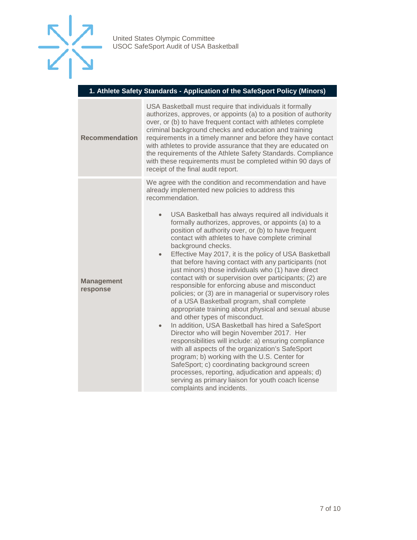

#### **1. Athlete Safety Standards - Application of the SafeSport Policy (Minors)**

| <b>Recommendation</b>         | USA Basketball must require that individuals it formally<br>authorizes, approves, or appoints (a) to a position of authority<br>over, or (b) to have frequent contact with athletes complete<br>criminal background checks and education and training<br>requirements in a timely manner and before they have contact<br>with athletes to provide assurance that they are educated on<br>the requirements of the Athlete Safety Standards. Compliance<br>with these requirements must be completed within 90 days of<br>receipt of the final audit report.                                                                                                                                                                                                                                                                                                                                                                                                                                                                                                                                                                                                                                                                                                                                                                                                              |
|-------------------------------|-------------------------------------------------------------------------------------------------------------------------------------------------------------------------------------------------------------------------------------------------------------------------------------------------------------------------------------------------------------------------------------------------------------------------------------------------------------------------------------------------------------------------------------------------------------------------------------------------------------------------------------------------------------------------------------------------------------------------------------------------------------------------------------------------------------------------------------------------------------------------------------------------------------------------------------------------------------------------------------------------------------------------------------------------------------------------------------------------------------------------------------------------------------------------------------------------------------------------------------------------------------------------------------------------------------------------------------------------------------------------|
| <b>Management</b><br>response | We agree with the condition and recommendation and have<br>already implemented new policies to address this<br>recommendation.<br>USA Basketball has always required all individuals it<br>$\bullet$<br>formally authorizes, approves, or appoints (a) to a<br>position of authority over, or (b) to have frequent<br>contact with athletes to have complete criminal<br>background checks.<br>Effective May 2017, it is the policy of USA Basketball<br>$\bullet$<br>that before having contact with any participants (not<br>just minors) those individuals who (1) have direct<br>contact with or supervision over participants; (2) are<br>responsible for enforcing abuse and misconduct<br>policies; or (3) are in managerial or supervisory roles<br>of a USA Basketball program, shall complete<br>appropriate training about physical and sexual abuse<br>and other types of misconduct.<br>In addition, USA Basketball has hired a SafeSport<br>$\bullet$<br>Director who will begin November 2017. Her<br>responsibilities will include: a) ensuring compliance<br>with all aspects of the organization's SafeSport<br>program; b) working with the U.S. Center for<br>SafeSport; c) coordinating background screen<br>processes, reporting, adjudication and appeals; d)<br>serving as primary liaison for youth coach license<br>complaints and incidents. |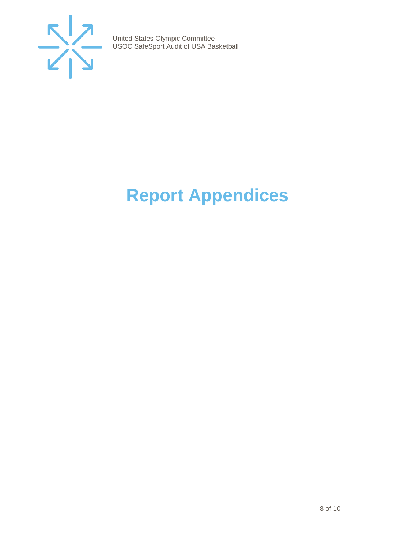

# <span id="page-7-0"></span>**Report Appendices**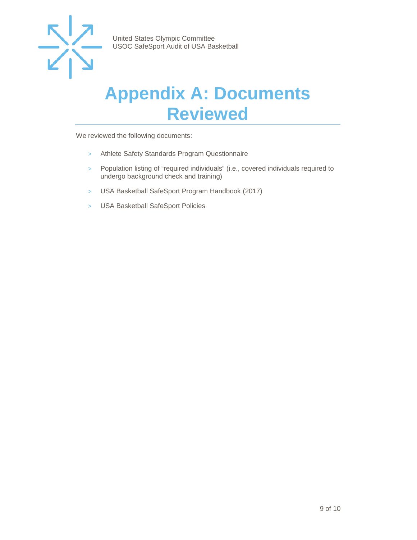

## <span id="page-8-0"></span>**Appendix A: Documents Reviewed**

We reviewed the following documents:

- > Athlete Safety Standards Program Questionnaire
- > Population listing of "required individuals" (i.e., covered individuals required to undergo background check and training)
- > USA Basketball SafeSport Program Handbook (2017)
- > USA Basketball SafeSport Policies